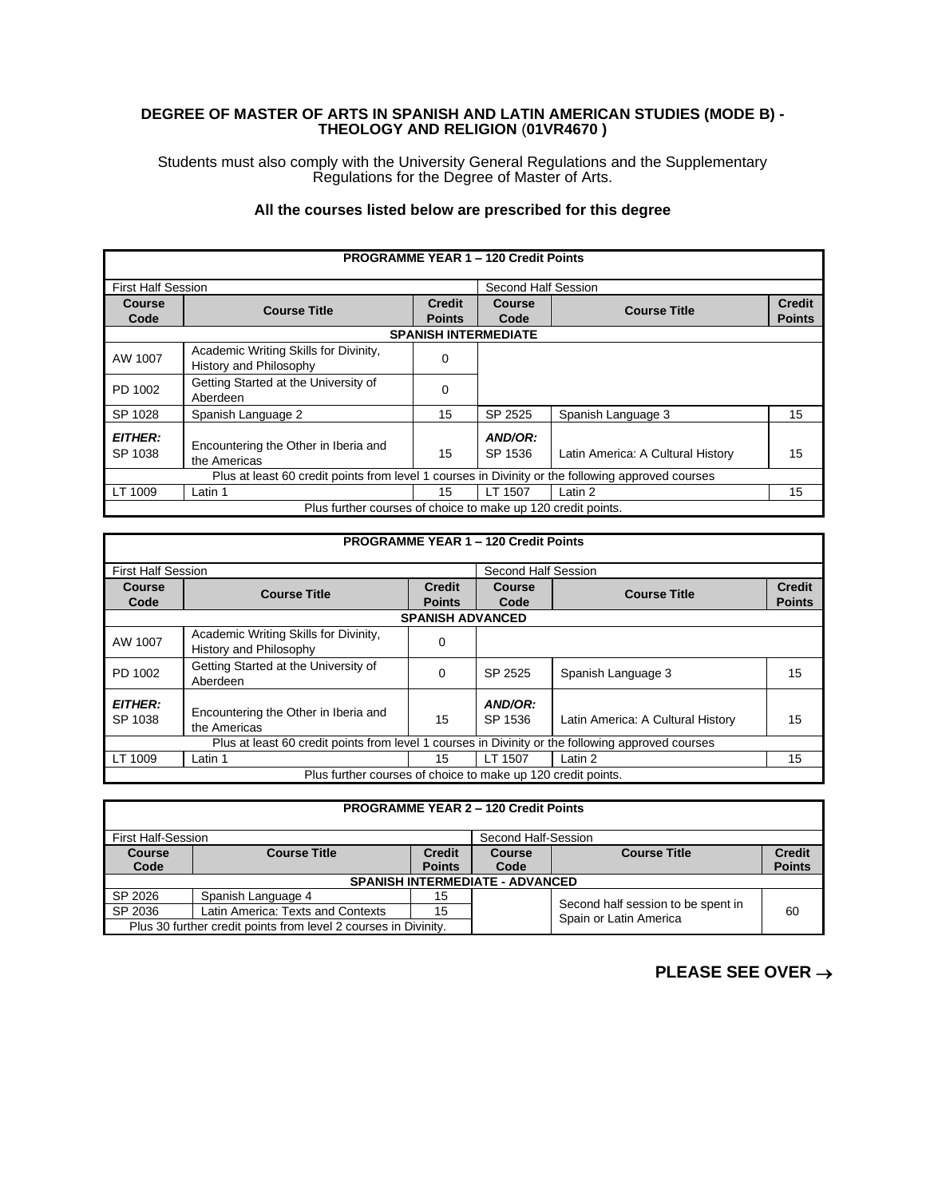## **DEGREE OF MASTER OF ARTS IN SPANISH AND LATIN AMERICAN STUDIES (MODE B) - THEOLOGY AND RELIGION** (**01VR4670 )**

Students must also comply with the University General Regulations and the Supplementary Regulations for the Degree of Master of Arts.

## **All the courses listed below are prescribed for this degree**

|                           |                                                                                                   |               | <b>PROGRAMME YEAR 1 - 120 Credit Points</b> |                                   |               |
|---------------------------|---------------------------------------------------------------------------------------------------|---------------|---------------------------------------------|-----------------------------------|---------------|
| <b>First Half Session</b> |                                                                                                   |               | Second Half Session                         |                                   |               |
| Course                    | <b>Course Title</b>                                                                               | <b>Credit</b> | Course                                      | <b>Course Title</b>               | <b>Credit</b> |
| Code                      |                                                                                                   | <b>Points</b> | Code                                        |                                   | <b>Points</b> |
|                           |                                                                                                   |               | <b>SPANISH INTERMEDIATE</b>                 |                                   |               |
| AW 1007                   | Academic Writing Skills for Divinity,<br>History and Philosophy                                   | 0             |                                             |                                   |               |
| PD 1002                   | Getting Started at the University of<br>Aberdeen                                                  | 0             |                                             |                                   |               |
| SP 1028                   | Spanish Language 2                                                                                | 15            | SP 2525                                     | Spanish Language 3                | 15            |
| <b>EITHER:</b><br>SP 1038 | Encountering the Other in Iberia and<br>the Americas                                              | 15            | AND/OR:<br>SP 1536                          | Latin America: A Cultural History | 15            |
|                           | Plus at least 60 credit points from level 1 courses in Divinity or the following approved courses |               |                                             |                                   |               |
| LT 1009                   | Latin 1                                                                                           | 15            | LT 1507                                     | Latin 2                           | 15            |
|                           | Plus further courses of choice to make up 120 credit points.                                      |               |                                             |                                   |               |

## **PROGRAMME YEAR 1 – 120 Credit Points**

| <b>First Half Session</b>                                                                         |                                                                 |                                | Second Half Session |                                   |                                |
|---------------------------------------------------------------------------------------------------|-----------------------------------------------------------------|--------------------------------|---------------------|-----------------------------------|--------------------------------|
| <b>Course</b><br>Code                                                                             | <b>Course Title</b>                                             | <b>Credit</b><br><b>Points</b> | Course<br>Code      | <b>Course Title</b>               | <b>Credit</b><br><b>Points</b> |
|                                                                                                   |                                                                 | <b>SPANISH ADVANCED</b>        |                     |                                   |                                |
| AW 1007                                                                                           | Academic Writing Skills for Divinity,<br>History and Philosophy | 0                              |                     |                                   |                                |
| PD 1002                                                                                           | Getting Started at the University of<br>Aberdeen                | 0                              | SP 2525             | Spanish Language 3                | 15                             |
| <b>EITHER:</b><br>SP 1038                                                                         | Encountering the Other in Iberia and<br>the Americas            | 15                             | AND/OR:<br>SP 1536  | Latin America: A Cultural History | 15                             |
| Plus at least 60 credit points from level 1 courses in Divinity or the following approved courses |                                                                 |                                |                     |                                   |                                |
| LT 1009                                                                                           | Latin 1                                                         | 15                             | LT 1507             | Latin 2                           | 15                             |
| Plus further courses of choice to make up 120 credit points.                                      |                                                                 |                                |                     |                                   |                                |

| <b>PROGRAMME YEAR 2 - 120 Credit Points</b>                     |                                           |               |        |                                                              |               |
|-----------------------------------------------------------------|-------------------------------------------|---------------|--------|--------------------------------------------------------------|---------------|
|                                                                 | First Half-Session<br>Second Half-Session |               |        |                                                              |               |
| <b>Course</b>                                                   | <b>Course Title</b>                       | <b>Credit</b> | Course | <b>Course Title</b>                                          | <b>Credit</b> |
| Code                                                            |                                           | <b>Points</b> | Code   |                                                              | <b>Points</b> |
|                                                                 | <b>SPANISH INTERMEDIATE - ADVANCED</b>    |               |        |                                                              |               |
| SP 2026                                                         | Spanish Language 4                        | 15            |        |                                                              |               |
| SP 2036                                                         | Latin America: Texts and Contexts         | 15            |        | Second half session to be spent in<br>Spain or Latin America | 60            |
| Plus 30 further credit points from level 2 courses in Divinity. |                                           |               |        |                                                              |               |

## **PLEASE SEE OVER** →